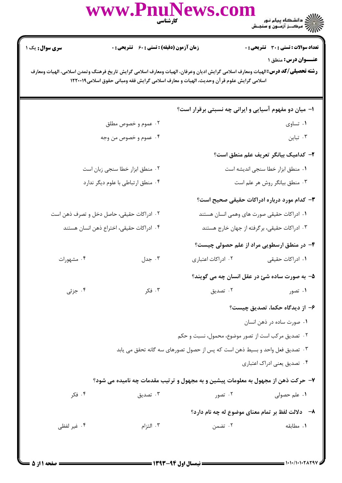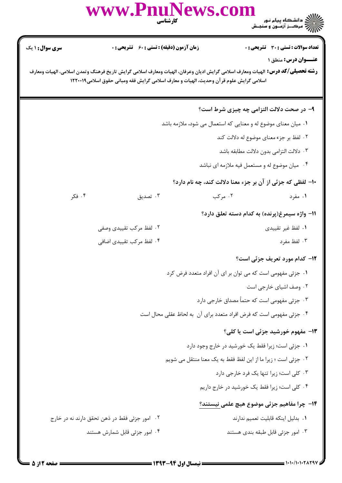|                                                                | www.PnuNews.com                                                                          | كارشناسي | عمر السلام دانشگاه پیام نور<br>۱۳۸۲ - مرکب از آرسون و سنجـش                                                                                                          |
|----------------------------------------------------------------|------------------------------------------------------------------------------------------|----------|----------------------------------------------------------------------------------------------------------------------------------------------------------------------|
| <b>سری سوال : ۱ یک</b>                                         | <b>زمان آزمون (دقیقه) : تستی : 60 ٪ تشریحی : 0</b>                                       |          | تعداد سوالات : تستى : 30 ٪ تشريحي : 0                                                                                                                                |
|                                                                | اسلامی گرایش علوم قر آن وحدیث، الهیات و معارف اسلامی گرایش فقه ومبانی حقوق اسلامی۱۲۲۰۰۱۹ |          | <b>عنــوان درس:</b> منطق ۱<br><b>رشته تحصیلی/کد درس:</b> الهیات ومعارف اسلامی گرایش ادیان وعرفان، الهیات ومعارف اسلامی گرایش تاریخ فرهنگ وتمدن اسلامی، الهیات ومعارف |
|                                                                |                                                                                          |          | ۹- در صحت دلالت التزامی چه چیزی شرط است؟                                                                                                                             |
| ۰۱ میان معنای موضوع له و معنایی که استعمال می شود، ملازمه باشد |                                                                                          |          |                                                                                                                                                                      |
|                                                                |                                                                                          |          | ۰۲ لفظ بر جزء معنای موضوع له دلالت کند                                                                                                                               |
|                                                                |                                                                                          |          | ۰۳ دلالت التزامي بدون دلالت مطابقه باشد                                                                                                                              |
|                                                                |                                                                                          |          | ۰۴ میان موضوع له و مستعمل فیه ملازمه ای نباشد                                                                                                                        |
|                                                                |                                                                                          |          | ۱۰– لفظی که جزئی از آن بر جزء معنا دلالت کند، چه نام دارد؟                                                                                                           |
| ۰۴ فکر                                                         | ۰۳ تصدیق                                                                                 | ۰۲ مرکب  | ۰۱ مفرد                                                                                                                                                              |
|                                                                |                                                                                          |          | 11- واژه سیمرغ(پرنده) به کدام دسته تعلق دارد؟                                                                                                                        |
|                                                                | ۲. لفظ مرکب تقییدی وصفی                                                                  |          | ۰۱ لفظ غیر تقییدی                                                                                                                                                    |
|                                                                | ۰۴ لفظ مرکب تقییدی اضافی                                                                 |          | ۰۳ لفظ مفرد                                                                                                                                                          |
|                                                                |                                                                                          |          | <b>۱۲</b> - کدام مورد تعریف جزئی است؟                                                                                                                                |
|                                                                |                                                                                          |          | ۰۱ جزئی مفهومی است که می توان بر ای آن افراد متعدد فرض کرد                                                                                                           |
|                                                                |                                                                                          |          | ۰۲ وصف اشیای خارجی است                                                                                                                                               |
|                                                                |                                                                                          |          | ۰۳ جزئی مفهومی است که حتماً مصداق خارجی دارد                                                                                                                         |
|                                                                |                                                                                          |          | ۰۴ جزئي مفهومي است كه فرض افراد متعدد براي آن  به لحاظ عقلي محال است                                                                                                 |
|                                                                |                                                                                          |          | 13- مفهوم خورشید جزئی است یا کلی؟                                                                                                                                    |
|                                                                |                                                                                          |          | ۰۱ جزئی است؛ زیرا فقط یک خورشید در خارج وجود دارد                                                                                                                    |
|                                                                |                                                                                          |          | ۰۲ جزئی است ؛ زیرا ما از این لفظ فقط به یک معنا منتقل می شویم                                                                                                        |
|                                                                |                                                                                          |          | ۰۳ کلی است؛ زیرا تنها یک فرد خارجی دارد                                                                                                                              |
|                                                                |                                                                                          |          | ۰۴ کلی است؛ زیرا فقط یک خورشید در خارج داریم                                                                                                                         |
|                                                                |                                                                                          |          | <b>۱۴</b> – چرا مفاهیم جزئی موضوع هیچ علمی نیستند؟                                                                                                                   |
|                                                                | ۰۲ امور جزئی فقط در ذهن تحقق دارند نه در خارج                                            |          | ٠١. بدليل اينكه قابليت تعميم ندارند                                                                                                                                  |
|                                                                | ۰۴ امور جزئی قابل شمارش هستند                                                            |          | ۰۳ امور جزئي قابل طبقه بندي هستند                                                                                                                                    |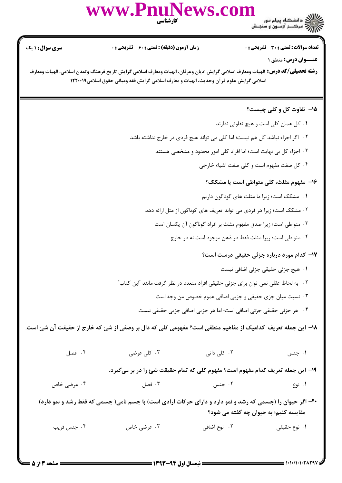

| <b>سری سوال :</b> ۱ یک                                                                                                                              | <b>زمان آزمون (دقیقه) : تستی : 60 ٪ تشریحی : 0</b>                                       |              | <b>تعداد سوالات : تستی : 30 ٪ تشریحی : 0</b>                                   |  |  |  |
|-----------------------------------------------------------------------------------------------------------------------------------------------------|------------------------------------------------------------------------------------------|--------------|--------------------------------------------------------------------------------|--|--|--|
| <b>رشته تحصیلی/کد درس:</b> الهیات ومعارف اسلامی گرایش ادیان وعرفان، الهیات ومعارف اسلامی گرایش تاریخ فرهنگ وتمدن اسلامی، الهیات ومعارف              |                                                                                          |              | عنــوان درس: منطق ۱                                                            |  |  |  |
|                                                                                                                                                     | اسلامی گرایش علوم قر آن وحدیث، الهیات و معارف اسلامی گرایش فقه ومبانی حقوق اسلامی۱۲۲۰۰۱۹ |              |                                                                                |  |  |  |
|                                                                                                                                                     |                                                                                          |              | <b>۱۵</b> - تفاوت کل و کلی چیست؟                                               |  |  |  |
|                                                                                                                                                     |                                                                                          |              | ۰۱ کل همان کلی است و هیچ تفاوتی ندارند                                         |  |  |  |
|                                                                                                                                                     | ۲. اگر اجزاء نباشد کل هم نیست؛ اما کلی می تواند هیچ فردی در خارج نداشته باشد             |              |                                                                                |  |  |  |
|                                                                                                                                                     |                                                                                          |              | ۰۳ اجزاء کل بی نهایت است؛ اما افراد کلی امور محدود و مشخصی هستند               |  |  |  |
|                                                                                                                                                     |                                                                                          |              | ۰۴ کل صفت مفهوم است و کلی صفت اشیاء خارجی                                      |  |  |  |
|                                                                                                                                                     |                                                                                          |              | ۱۶– مفهوم مثلث، کلی متواطی است یا مشکک؟                                        |  |  |  |
|                                                                                                                                                     |                                                                                          |              | ٠١ مشكك است؛ زيرا ما مثلث هاي گوناگون داريم                                    |  |  |  |
|                                                                                                                                                     |                                                                                          |              | ۰۲ مشکک است؛ زیرا هر فردی می تواند تعریف های گوناگون از مثل ارائه دهد          |  |  |  |
|                                                                                                                                                     |                                                                                          |              | ۰۳ متواطی است؛ زیرا صدق مفهوم مثلث بر افراد گوناگون آن یکسان است               |  |  |  |
|                                                                                                                                                     |                                                                                          |              | ۰۴ متواطی است؛ زیرا مثلث فقط در ذهن موجود است نه در خارج                       |  |  |  |
|                                                                                                                                                     |                                                                                          |              | ۱۷– کدام مورد درباره جزئی حقیقی درست است؟                                      |  |  |  |
|                                                                                                                                                     |                                                                                          |              | ٠١ هيچ جزئي حقيقي جزئي اضافي نيست                                              |  |  |  |
| ۰۲ به لحاظ عقلی نمی توان برای جزئی حقیقی افراد متعدد در نظر گرفت مانند آاین کتاب ً                                                                  |                                                                                          |              |                                                                                |  |  |  |
| ۰۳ نسبت میان جزی حقیقی و جزیی اضافی عموم خصوص من وجه است                                                                                            |                                                                                          |              |                                                                                |  |  |  |
|                                                                                                                                                     |                                                                                          |              | ۰۴ هر جزئي حقيقي جزئي اضافي است؛ اما هر جزيي اضافي جزيي حقيقي نيست             |  |  |  |
| ۱۸– این جمله تعریف کدامیک از مفاهیم منطقی است؟ مفهومی کلی که دال بر وصفی از شئ که خارج از حقیقت آن شئ است.                                          |                                                                                          |              |                                                                                |  |  |  |
| ۰۴ فصل                                                                                                                                              | ۰۳ کلی عرضی                                                                              | ۰۲ کلی ذاتی  | ۰۱ جنس                                                                         |  |  |  |
|                                                                                                                                                     |                                                                                          |              | ۱۹– این جمله تعریف کدام مفهوم است؟ مفهوم کلی که تمام حقیقت شئ را در بر میگیرد. |  |  |  |
| ۰۴ عرضی خاص                                                                                                                                         | ۰۳ فصل                                                                                   | ۰۲ جنس       | ۰۱ نوع                                                                         |  |  |  |
| ۲۰- اگر حیوان را (جسمی که رشد و نمو دارد و دارای حرکات ارادی است) با جسم نامی( جسمی که فقط رشد و نمو دارد)<br>مقایسه کنیم؛ به حیوان چه گفته می شود؟ |                                                                                          |              |                                                                                |  |  |  |
| ۰۴ جنس قريب                                                                                                                                         | ۰۳ عرضی خاص                                                                              | ۲. نوع اضافی | <b>۱</b> . نوع حقیقی                                                           |  |  |  |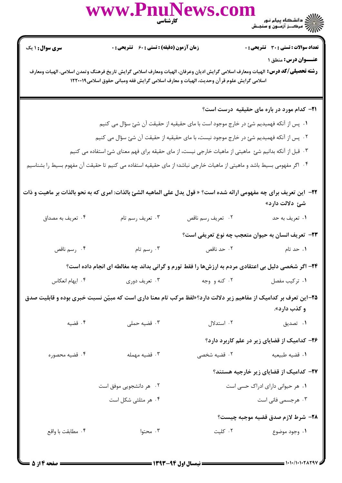|                                                                                                                                                                                                                                                           | WWW.PnuNews.com                                                                                                              |                   | ے ۔<br>کالان دانشگاہ پیام نور<br>کالان مرکز آزمون و سنجش |  |  |
|-----------------------------------------------------------------------------------------------------------------------------------------------------------------------------------------------------------------------------------------------------------|------------------------------------------------------------------------------------------------------------------------------|-------------------|----------------------------------------------------------|--|--|
| <b>سری سوال :</b> ۱ یک                                                                                                                                                                                                                                    | زمان آزمون (دقیقه) : تستی : 60 ٪ تشریحی : 0                                                                                  |                   | <b>تعداد سوالات : تستی : 30 ٪ تشریحی : 0</b>             |  |  |
| عنــوان درس: منطق ۱<br><b>رشته تحصیلی/کد درس:</b> الهیات ومعارف اسلامی گرایش ادیان وعرفان، الهیات ومعارف اسلامی گرایش تاریخ فرهنگ وتمدن اسلامی، الهیات ومعارف<br>اسلامی گرایش علوم قر آن وحدیث، الهیات و معارف اسلامی گرایش فقه ومبانی حقوق اسلامی۱۲۲۰۰۱۹ |                                                                                                                              |                   |                                                          |  |  |
|                                                                                                                                                                                                                                                           |                                                                                                                              |                   | <b>۲۱</b> - کدام مورد در باره مای حقیقیه درست است؟       |  |  |
|                                                                                                                                                                                                                                                           | ۰۱ پس از آنکه فهمیدیم شئ در خارج موجود است با مای حقیقیه از حقیقت آن شئ سؤال می کنیم                                         |                   |                                                          |  |  |
|                                                                                                                                                                                                                                                           | ۰۲ پس از آنکه فهمیدیم شئ در خارج موجود نیست، با مای حقیقیه از حقیقت آن شئ سؤال می کنیم                                       |                   |                                                          |  |  |
| ۰۳ قبل از آنکه بدانیم شئ ماهیتی از ماهیات خارجی نیست، از مای حقیقه برای فهم معنای شئ استفاده می کنیم                                                                                                                                                      |                                                                                                                              |                   |                                                          |  |  |
| ۰۴ اگر مفهومی بسیط باشد و ماهیتی از ماهیات خارجی نباشد؛ از مای حقیقیه استفاده می کنیم تا حقیقت آن مفهوم بسیط را بشناسیم                                                                                                                                   |                                                                                                                              |                   |                                                          |  |  |
|                                                                                                                                                                                                                                                           | <b>۲۲</b> -  این تعریف برای چه مفهومی ارائه شده است؟ « قول یدل علی الماهیه الشئ بالذات: امری که به نحو بالذات بر ماهیت و ذات |                   | شئ دلالت دارد»                                           |  |  |
| ۰۴ تعریف به مصداق                                                                                                                                                                                                                                         | ۰۳ تعریف رسم تام                                                                                                             | ٠٢ تعريف رسم ناقص | ۰۱ تعريف به حد                                           |  |  |
|                                                                                                                                                                                                                                                           |                                                                                                                              |                   | ٢٣- تعريف انسان به حيوان متعجب چه نوع تعريفي است؟        |  |  |
| ۰۴ رسم ناقص                                                                                                                                                                                                                                               | ۰۳ رسم تام                                                                                                                   |                   | <b>۱</b> . حد تام مسلم است از محمد ناقص                  |  |  |
|                                                                                                                                                                                                                                                           | ۲۴- اگر شخصی دلیل بی اعتقادی مردم به ارزشها را فقط تورم و گرانی بداند چه مغالطه ای انجام داده است؟                           |                   |                                                          |  |  |
| ۰۴ ایهام انعکاس                                                                                                                                                                                                                                           | ۰۳ تعریف دوری                                                                                                                | ۰۲ کنه و وجه      | ٠١ تركيب مفصل                                            |  |  |
| ۲۵–این تعرف بر کدامیک از مفاهیم زیر دلالت دارد؟«لفظ مرکب تام معنا داری است که مبیّن نسبت خبری بوده و قابلیت صدق<br>و کذب دارد».                                                                                                                           |                                                                                                                              |                   |                                                          |  |  |
| ۰۴ قضیه                                                                                                                                                                                                                                                   | ۰۳ قضیه حملی                                                                                                                 |                   | ۰۲ استدلال<br>۰۱ تصدیق                                   |  |  |
|                                                                                                                                                                                                                                                           |                                                                                                                              |                   | ۲۶– کدامیک از قضایای زیر در علم کاربرد دارد؟             |  |  |
| ۰۴ قضیه محصوره                                                                                                                                                                                                                                            | ۰۳ قضیه مهمله                                                                                                                | ۰۲ قضیه شخصی      | ٠١ قضيه طبيعيه                                           |  |  |
|                                                                                                                                                                                                                                                           |                                                                                                                              |                   | ۲۷- کدامیک از قضایای زیر خارجیه هستند؟                   |  |  |
|                                                                                                                                                                                                                                                           | ۰۲ هر دانشجویی موفق است                                                                                                      |                   | ۰۱ هر حیوانی دارای ادراک حسی است                         |  |  |
|                                                                                                                                                                                                                                                           | ۰۴ هر مثلثی شکل است                                                                                                          |                   | ۰۳ هرجسمی فانی است                                       |  |  |
|                                                                                                                                                                                                                                                           |                                                                                                                              |                   | ٢٨- شرط لازم صدق قضيه موجبه چيست؟                        |  |  |
| ۰۴ مطابقت با واقع                                                                                                                                                                                                                                         | ۰۳ محتوا                                                                                                                     | ۰۲ کلیت           | ۰۱ وجود موضوع                                            |  |  |